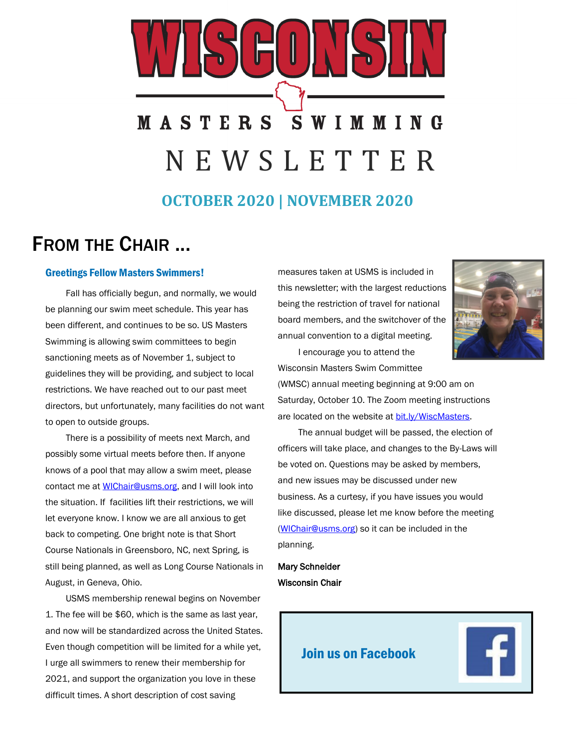# **MASTERS SWIMMING** N E W S L E T T E R

**OCTOBER 2020 | NOVEMBER 2020**

## FROM THE CHAIR ...

#### Greetings Fellow Masters Swimmers!

Fall has officially begun, and normally, we would be planning our swim meet schedule. This year has been different, and continues to be so. US Masters Swimming is allowing swim committees to begin sanctioning meets as of November 1, subject to guidelines they will be providing, and subject to local restrictions. We have reached out to our past meet directors, but unfortunately, many facilities do not want to open to outside groups.

There is a possibility of meets next March, and possibly some virtual meets before then. If anyone knows of a pool that may allow a swim meet, please contact me at [WIChair@usms.org,](mailto:WIChair@usms.org) and I will look into the situation. If facilities lift their restrictions, we will let everyone know. I know we are all anxious to get back to competing. One bright note is that Short Course Nationals in Greensboro, NC, next Spring, is still being planned, as well as Long Course Nationals in August, in Geneva, Ohio.

USMS membership renewal begins on November 1. The fee will be \$60, which is the same as last year, and now will be standardized across the United States. Even though competition will be limited for a while yet, I urge all swimmers to renew their membership for 2021, and support the organization you love in these difficult times. A short description of cost saving

measures taken at USMS is included in this newsletter; with the largest reductions being the restriction of travel for national board members, and the switchover of the annual convention to a digital meeting.



I encourage you to attend the Wisconsin Masters Swim Committee

(WMSC) annual meeting beginning at 9:00 am on Saturday, October 10. The Zoom meeting instructions are located on the website at [bit.ly/WiscMasters.](http://bit.ly/WiscMasters)

The annual budget will be passed, the election of officers will take place, and changes to the By-Laws will be voted on. Questions may be asked by members, and new issues may be discussed under new business. As a curtesy, if you have issues you would like discussed, please let me know before the meeting [\(WIChair@usms.org\)](mailto:WIChair@usms.org) so it can be included in the planning.

## Mary Schneider Wisconsin Chair

[Join us on Facebook](https://www.facebook.com/groups/154332632463104/)

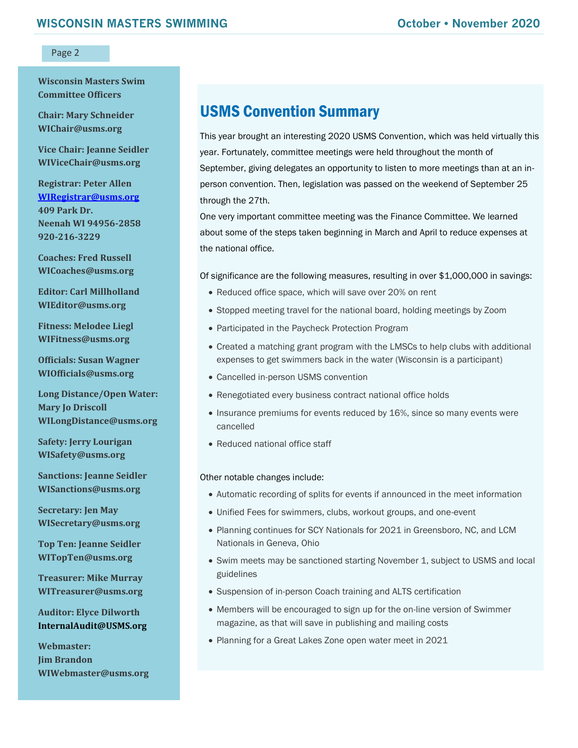**Wisconsin Masters Swim Committee Officers**

**Chair: Mary Schneider WIChair@usms.org**

**Vice Chair: Jeanne Seidler WIViceChair@usms.org**

**Registrar: Peter Allen [WIRegistrar@usms.org](mailto:WIRegistrar@usms.org) 409 Park Dr. Neenah WI 94956-2858 920-216-3229**

**Coaches: Fred Russell WICoaches@usms.org**

**Editor: Carl Millholland WIEditor@usms.org**

**Fitness: Melodee Liegl WIFitness@usms.org**

**Officials: Susan Wagner WIOfficials@usms.org**

**Long Distance/Open Water: Mary Jo Driscoll WILongDistance@usms.org**

**Safety: Jerry Lourigan WISafety@usms.org**

**Sanctions: Jeanne Seidler WISanctions@usms.org**

**Secretary: Jen May WISecretary@usms.org**

**Top Ten: Jeanne Seidler WITopTen@usms.org**

**Treasurer: Mike Murray WITreasurer@usms.org**

**Auditor: Elyce Dilworth [InternalAudit@USMS.org](mailto:InternalAudit@USMS.org)**

**Webmaster: Jim Brandon WIWebmaster@usms.org**

## USMS Convention Summary

This year brought an interesting 2020 USMS Convention, which was held virtually this year. Fortunately, committee meetings were held throughout the month of September, giving delegates an opportunity to listen to more meetings than at an inperson convention. Then, legislation was passed on the weekend of September 25 through the 27th.

One very important committee meeting was the Finance Committee. We learned about some of the steps taken beginning in March and April to reduce expenses at the national office.

Of significance are the following measures, resulting in over \$1,000,000 in savings:

- Reduced office space, which will save over 20% on rent
- Stopped meeting travel for the national board, holding meetings by Zoom
- Participated in the Paycheck Protection Program
- Created a matching grant program with the LMSCs to help clubs with additional expenses to get swimmers back in the water (Wisconsin is a participant)
- Cancelled in-person USMS convention
- Renegotiated every business contract national office holds
- Insurance premiums for events reduced by 16%, since so many events were cancelled
- Reduced national office staff

#### Other notable changes include:

- Automatic recording of splits for events if announced in the meet information
- Unified Fees for swimmers, clubs, workout groups, and one-event
- Planning continues for SCY Nationals for 2021 in Greensboro, NC, and LCM Nationals in Geneva, Ohio
- Swim meets may be sanctioned starting November 1, subject to USMS and local guidelines
- Suspension of in-person Coach training and ALTS certification
- Members will be encouraged to sign up for the on-line version of Swimmer magazine, as that will save in publishing and mailing costs
- Planning for a Great Lakes Zone open water meet in 2021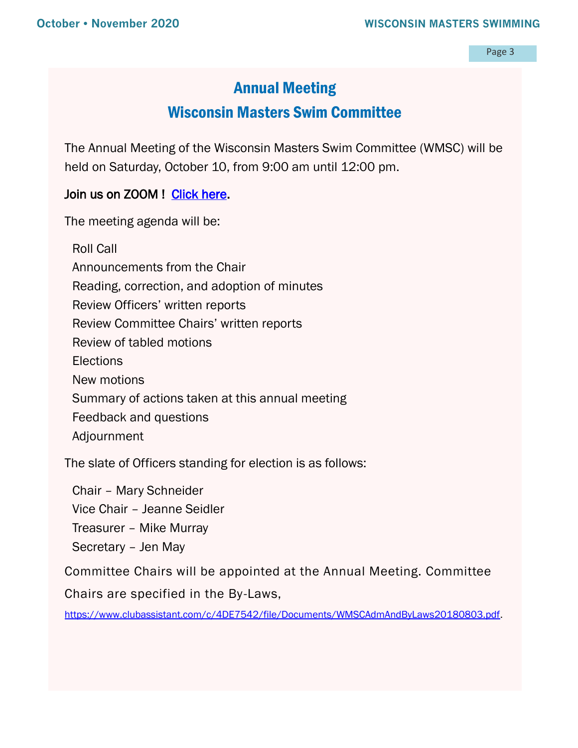## Annual Meeting

## Wisconsin Masters Swim Committee

The Annual Meeting of the Wisconsin Masters Swim Committee (WMSC) will be held on Saturday, October 10, from 9:00 am until 12:00 pm.

## Join us on ZOOM ! Click here.

The meeting agenda will be:

Roll Call Announcements from the Chair Reading, correction, and adoption of minutes Review Officers' written reports Review Committee Chairs' written reports Review of tabled motions **Elections** New motions Summary of actions taken at this annual meeting Feedback and questions Adjournment

The slate of Officers standing for election is as follows:

Chair – Mary Schneider Vice Chair – Jeanne Seidler Treasurer – Mike Murray Secretary – Jen May

Committee Chairs will be appointed at the Annual Meeting. Committee

Chairs are specified in the By-Laws,

[https://www.clubassistant.com/c/4DE7542/file/Documents/WMSCAdmAndByLaws20180803.pdf.](https://www.clubassistant.com/c/4DE7542/file/Documents/WMSCAdmAndByLaws20180803.pdf)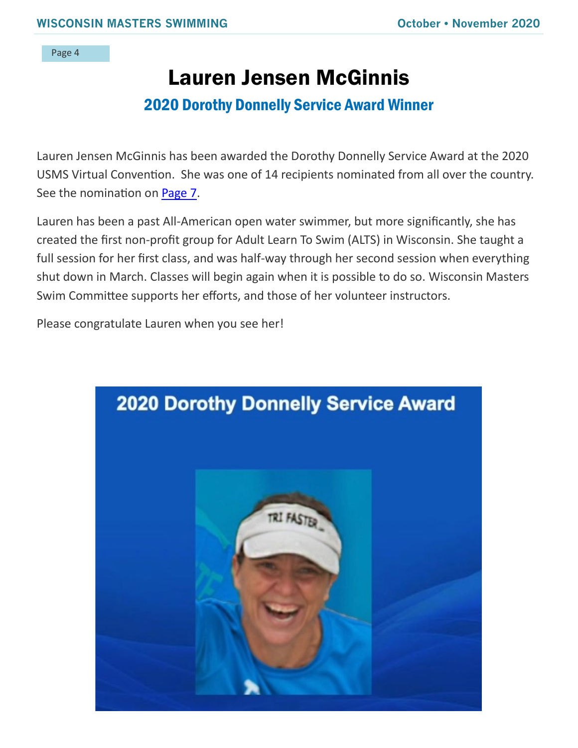# Lauren Jensen McGinnis

## 2020 Dorothy Donnelly Service Award Winner

Lauren Jensen McGinnis has been awarded the Dorothy Donnelly Service Award at the 2020 USMS Virtual Convention. She was one of 14 recipients nominated from all over the country. See the nomination on [Page 7.](#page-6-0)

Lauren has been a past All-American open water swimmer, but more significantly, she has created the first non-profit group for Adult Learn To Swim (ALTS) in Wisconsin. She taught a full session for her first class, and was half-way through her second session when everything shut down in March. Classes will begin again when it is possible to do so. Wisconsin Masters Swim Committee supports her efforts, and those of her volunteer instructors.

Please congratulate Lauren when you see her!

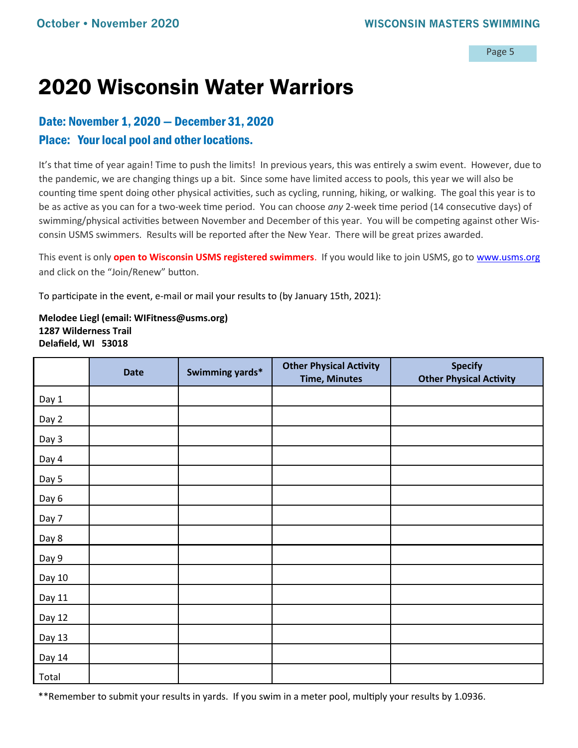# 2020 Wisconsin Water Warriors

## Date: November 1, 2020 — December 31, 2020

## Place: Your local pool and other locations.

It's that time of year again! Time to push the limits! In previous years, this was entirely a swim event. However, due to the pandemic, we are changing things up a bit. Since some have limited access to pools, this year we will also be counting time spent doing other physical activities, such as cycling, running, hiking, or walking. The goal this year is to be as active as you can for a two-week time period. You can choose *any* 2-week time period (14 consecutive days) of swimming/physical activities between November and December of this year. You will be competing against other Wisconsin USMS swimmers. Results will be reported after the New Year. There will be great prizes awarded.

This event is only **open to Wisconsin USMS registered swimmers**. If you would like to join USMS, go to [www.usms.org](http://www.usms.org) and click on the "Join/Renew" button.

To participate in the event, e-mail or mail your results to (by January 15th, 2021):

**Melodee Liegl (email: WIFitness@usms.org) 1287 Wilderness Trail Delafield, WI 53018** 

|        | <b>Date</b> | Swimming yards* | <b>Other Physical Activity</b><br><b>Time, Minutes</b> | <b>Specify</b><br><b>Other Physical Activity</b> |
|--------|-------------|-----------------|--------------------------------------------------------|--------------------------------------------------|
| Day 1  |             |                 |                                                        |                                                  |
| Day 2  |             |                 |                                                        |                                                  |
| Day 3  |             |                 |                                                        |                                                  |
| Day 4  |             |                 |                                                        |                                                  |
| Day 5  |             |                 |                                                        |                                                  |
| Day 6  |             |                 |                                                        |                                                  |
| Day 7  |             |                 |                                                        |                                                  |
| Day 8  |             |                 |                                                        |                                                  |
| Day 9  |             |                 |                                                        |                                                  |
| Day 10 |             |                 |                                                        |                                                  |
| Day 11 |             |                 |                                                        |                                                  |
| Day 12 |             |                 |                                                        |                                                  |
| Day 13 |             |                 |                                                        |                                                  |
| Day 14 |             |                 |                                                        |                                                  |
| Total  |             |                 |                                                        |                                                  |

\*\*Remember to submit your results in yards. If you swim in a meter pool, multiply your results by 1.0936.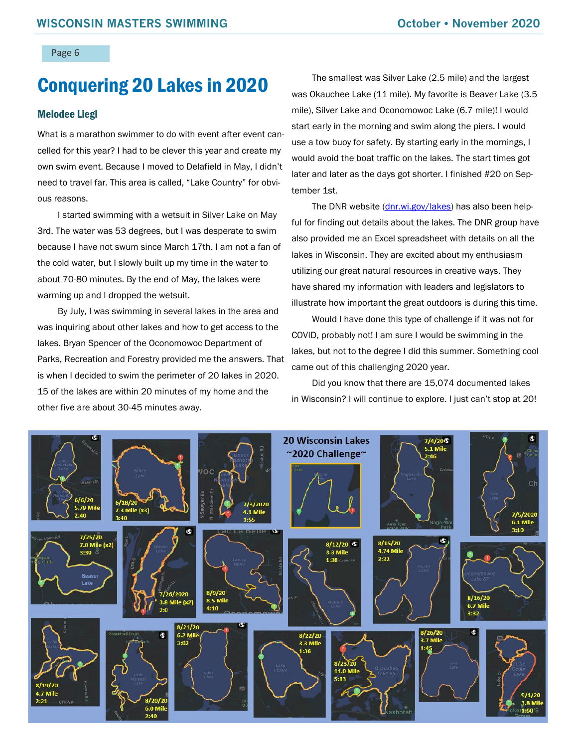# Conquering 20 Lakes in 2020

#### Melodee Liegl

What is a marathon swimmer to do with event after event cancelled for this year? I had to be clever this year and create my own swim event. Because I moved to Delafield in May, I didn't need to travel far. This area is called, "Lake Country" for obvious reasons.

I started swimming with a wetsuit in Silver Lake on May 3rd. The water was 53 degrees, but I was desperate to swim because I have not swum since March 17th. I am not a fan of the cold water, but I slowly built up my time in the water to about 70-80 minutes. By the end of May, the lakes were warming up and I dropped the wetsuit.

By July, I was swimming in several lakes in the area and was inquiring about other lakes and how to get access to the lakes. Bryan Spencer of the Oconomowoc Department of Parks, Recreation and Forestry provided me the answers. That is when I decided to swim the perimeter of 20 lakes in 2020. 15 of the lakes are within 20 minutes of my home and the other five are about 30-45 minutes away.

The smallest was Silver Lake (2.5 mile) and the largest was Okauchee Lake (11 mile). My favorite is Beaver Lake (3.5 mile), Silver Lake and Oconomowoc Lake (6.7 mile)! I would start early in the morning and swim along the piers. I would use a tow buoy for safety. By starting early in the mornings, I would avoid the boat traffic on the lakes. The start times got later and later as the days got shorter. I finished #20 on September 1st.

The DNR website [\(dnr.wi.gov/lakes\)](https://dnr.wi.gov/lakes) has also been helpful for finding out details about the lakes. The DNR group have also provided me an Excel spreadsheet with details on all the lakes in Wisconsin. They are excited about my enthusiasm utilizing our great natural resources in creative ways. They have shared my information with leaders and legislators to illustrate how important the great outdoors is during this time.

Would I have done this type of challenge if it was not for COVID, probably not! I am sure I would be swimming in the lakes, but not to the degree I did this summer. Something cool came out of this challenging 2020 year.

Did you know that there are 15,074 documented lakes in Wisconsin? I will continue to explore. I just can't stop at 20!

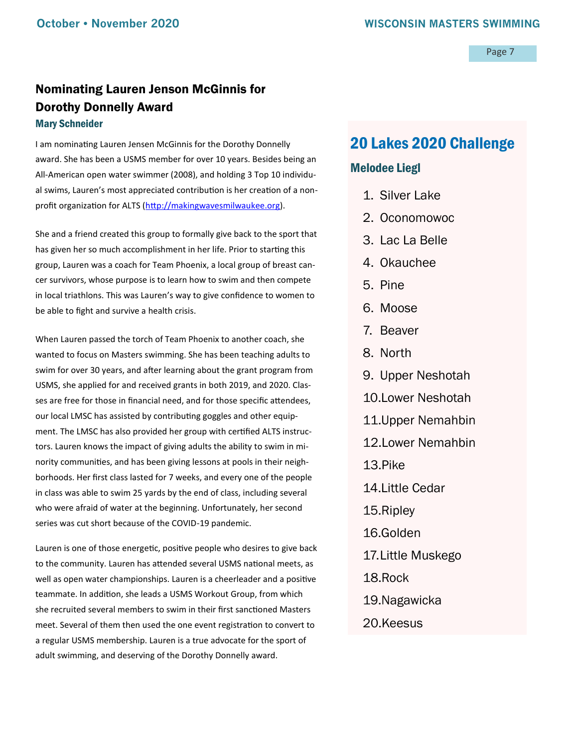## <span id="page-6-0"></span>Nominating Lauren Jenson McGinnis for Dorothy Donnelly Award Mary Schneider

I am nominating Lauren Jensen McGinnis for the Dorothy Donnelly award. She has been a USMS member for over 10 years. Besides being an All-American open water swimmer (2008), and holding 3 Top 10 individual swims, Lauren's most appreciated contribution is her creation of a nonprofit organization for ALTS ([http://makingwavesmilwaukee.org\).](http://makingwavesmilwaukee.org)

She and a friend created this group to formally give back to the sport that has given her so much accomplishment in her life. Prior to starting this group, Lauren was a coach for Team Phoenix, a local group of breast cancer survivors, whose purpose is to learn how to swim and then compete in local triathlons. This was Lauren's way to give confidence to women to be able to fight and survive a health crisis.

When Lauren passed the torch of Team Phoenix to another coach, she wanted to focus on Masters swimming. She has been teaching adults to swim for over 30 years, and after learning about the grant program from USMS, she applied for and received grants in both 2019, and 2020. Classes are free for those in financial need, and for those specific attendees, our local LMSC has assisted by contributing goggles and other equipment. The LMSC has also provided her group with certified ALTS instructors. Lauren knows the impact of giving adults the ability to swim in minority communities, and has been giving lessons at pools in their neighborhoods. Her first class lasted for 7 weeks, and every one of the people in class was able to swim 25 yards by the end of class, including several who were afraid of water at the beginning. Unfortunately, her second series was cut short because of the COVID-19 pandemic.

Lauren is one of those energetic, positive people who desires to give back to the community. Lauren has attended several USMS national meets, as well as open water championships. Lauren is a cheerleader and a positive teammate. In addition, she leads a USMS Workout Group, from which she recruited several members to swim in their first sanctioned Masters meet. Several of them then used the one event registration to convert to a regular USMS membership. Lauren is a true advocate for the sport of adult swimming, and deserving of the Dorothy Donnelly award.

## 20 Lakes 2020 Challenge

## Melodee Liegl

- 1. Silver Lake
- 2. Oconomowoc
- 3. Lac La Belle
- 4. Okauchee
- 5. Pine
- 6. Moose
- 7. Beaver
- 8. North
- 9. Upper Neshotah
- 10.Lower Neshotah
- 11.Upper Nemahbin
- 12.Lower Nemahbin
- 13.Pike
- 14.Little Cedar
- 15.Ripley
- 16.Golden
- 17.Little Muskego
- 18.Rock
- 19.Nagawicka
- 20.Keesus